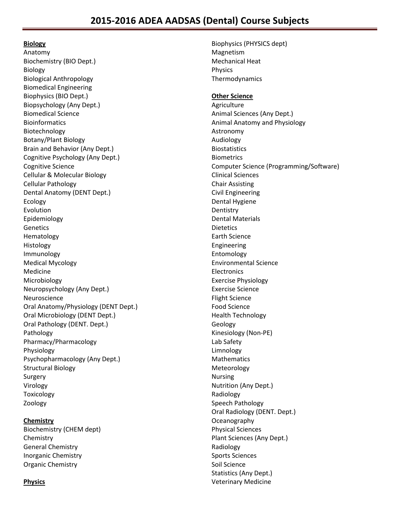# **Biology**

Anatomy Biochemistry (BIO Dept.) Biology Biological Anthropology Biomedical Engineering Biophysics (BIO Dept.) Biopsychology (Any Dept.) Biomedical Science Bioinformatics Biotechnology Botany/Plant Biology Brain and Behavior (Any Dept.) Cognitive Psychology (Any Dept.) Cognitive Science Cellular & Molecular Biology Cellular Pathology Dental Anatomy (DENT Dept.) Ecology Evolution Epidemiology Genetics Hematology Histology Immunology Medical Mycology Medicine Microbiology Neuropsychology (Any Dept.) Neuroscience Oral Anatomy/Physiology (DENT Dept.) Oral Microbiology (DENT Dept.) Oral Pathology (DENT. Dept.) Pathology Pharmacy/Pharmacology Physiology Psychopharmacology (Any Dept.) Structural Biology Surgery Virology Toxicology Zoology

# **Chemistry**

Biochemistry (CHEM dept) **Chemistry** General Chemistry Inorganic Chemistry Organic Chemistry

# **Physics**

Biophysics (PHYSICS dept) Magnetism Mechanical Heat Physics Thermodynamics

## **Other Science**

Agriculture Animal Sciences (Any Dept.) Animal Anatomy and Physiology Astronomy Audiology Biostatistics **Biometrics** Computer Science (Programming/Software) Clinical Sciences Chair Assisting Civil Engineering Dental Hygiene **Dentistry** Dental Materials **Dietetics** Earth Science Engineering Entomology Environmental Science Electronics Exercise Physiology Exercise Science Flight Science Food Science Health Technology Geology Kinesiology (Non-PE) Lab Safety Limnology Mathematics Meteorology Nursing Nutrition (Any Dept.) Radiology Speech Pathology Oral Radiology (DENT. Dept.) **Oceanography** Physical Sciences Plant Sciences (Any Dept.) Radiology Sports Sciences Soil Science Statistics (Any Dept.) Veterinary Medicine